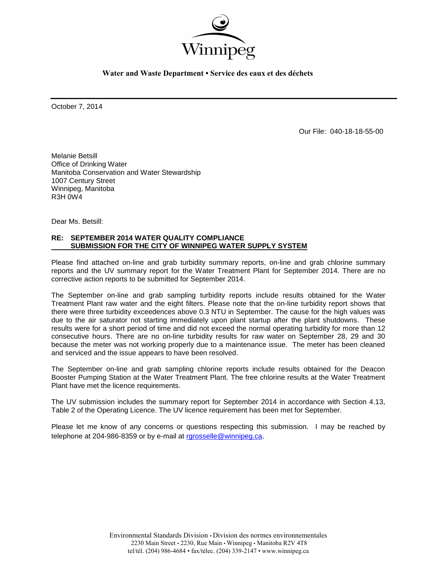

**Water and Waste Department • Service des eaux et des déchets**

October 7, 2014

Our File: 040-18-18-55-00

Melanie Betsill Office of Drinking Water Manitoba Conservation and Water Stewardship 1007 Century Street Winnipeg, Manitoba R3H 0W4

Dear Ms. Betsill:

## **RE: SEPTEMBER 2014 WATER QUALITY COMPLIANCE SUBMISSION FOR THE CITY OF WINNIPEG WATER SUPPLY SYSTEM**

Please find attached on-line and grab turbidity summary reports, on-line and grab chlorine summary reports and the UV summary report for the Water Treatment Plant for September 2014. There are no corrective action reports to be submitted for September 2014.

The September on-line and grab sampling turbidity reports include results obtained for the Water Treatment Plant raw water and the eight filters. Please note that the on-line turbidity report shows that there were three turbidity exceedences above 0.3 NTU in September. The cause for the high values was due to the air saturator not starting immediately upon plant startup after the plant shutdowns. These results were for a short period of time and did not exceed the normal operating turbidity for more than 12 consecutive hours. There are no on-line turbidity results for raw water on September 28, 29 and 30 because the meter was not working properly due to a maintenance issue. The meter has been cleaned and serviced and the issue appears to have been resolved.

The September on-line and grab sampling chlorine reports include results obtained for the Deacon Booster Pumping Station at the Water Treatment Plant. The free chlorine results at the Water Treatment Plant have met the licence requirements.

The UV submission includes the summary report for September 2014 in accordance with Section 4.13, Table 2 of the Operating Licence. The UV licence requirement has been met for September.

Please let me know of any concerns or questions respecting this submission. I may be reached by telephone at 204-986-8359 or by e-mail at [rgrosselle@winnipeg.ca](mailto:rgrosselle@winnipeg.ca).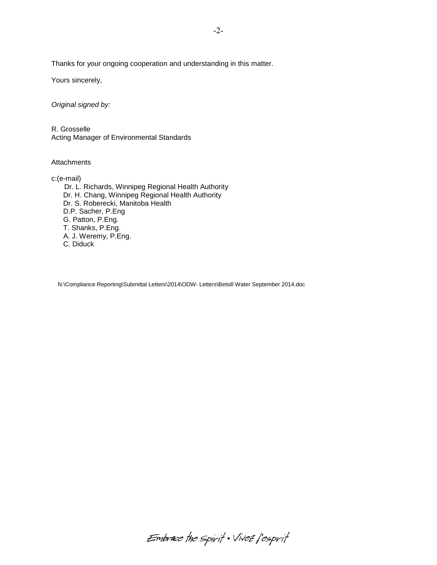Thanks for your ongoing cooperation and understanding in this matter.

Yours sincerely,

*Original signed by:*

R. Grosselle Acting Manager of Environmental Standards

**Attachments** 

c:(e-mail) Dr. L. Richards, Winnipeg Regional Health Authority Dr. H. Chang, Winnipeg Regional Health Authority Dr. S. Roberecki, Manitoba Health D.P. Sacher, P.Eng G. Patton, P.Eng. T. Shanks, P.Eng. A. J. Weremy, P.Eng. C. Diduck

N:\Compliance Reporting\Submittal Letters\2014\ODW- Letters\Betsill Water September 2014.doc

Embrace the spirit . Vivez l'esprit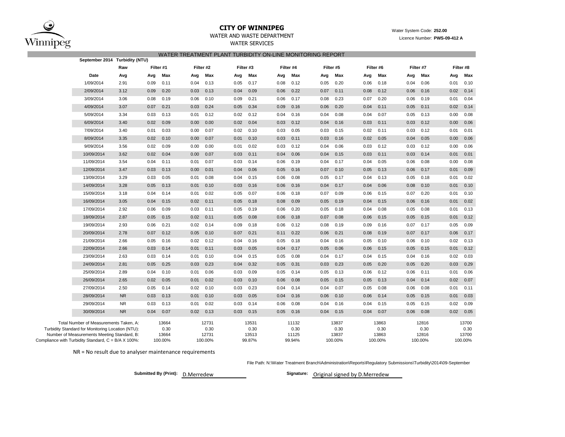

# **CITY OF WINNIPEG** Water System Code: 252.00

WATER SERVICES

# WATER AND WASTE DEPARTMENT **EXAMPLE 2008 12 AVAILABLE 2009-412 A** Licence Number: **PWS-09-412 A**

|                                                                                                    |           |      |               |      |               | WATER TREATMENT PLANT TURBIDITY ON-LINE MONITORING REPORT |               |      |               |      |               |      |               |      |               |      |               |
|----------------------------------------------------------------------------------------------------|-----------|------|---------------|------|---------------|-----------------------------------------------------------|---------------|------|---------------|------|---------------|------|---------------|------|---------------|------|---------------|
| September 2014 Turbidity (NTU)                                                                     |           |      |               |      |               |                                                           |               |      |               |      |               |      |               |      |               |      |               |
|                                                                                                    | Raw       |      | Filter #1     |      | Filter #2     | Filter #3                                                 |               |      | Filter #4     |      | Filter #5     |      | Filter #6     |      | Filter #7     |      | Filter #8     |
| Date                                                                                               | Avg       | Avg  | Max           | Avg  | Max           | Avg                                                       | Max           | Avg  | Max           | Avg  | Max           | Avg  | Max           | Avg  | Max           | Avg  | Max           |
| 1/09/2014                                                                                          | 2.91      | 0.09 | 0.11          | 0.04 | 0.13          | 0.05                                                      | 0.17          | 0.08 | 0.12          | 0.05 | 0.20          | 0.06 | 0.18          | 0.04 | 0.06          | 0.01 | 0.10          |
| 2/09/2014                                                                                          | 3.12      | 0.09 | 0.20          | 0.03 | 0.13          | 0.04                                                      | 0.09          | 0.06 | 0.22          | 0.07 | 0.11          | 0.08 | 0.12          | 0.06 | 0.16          | 0.02 | 0.14          |
| 3/09/2014                                                                                          | 3.06      | 0.08 | 0.19          | 0.06 | 0.10          | 0.09                                                      | 0.21          | 0.06 | 0.17          | 0.08 | 0.23          | 0.07 | 0.20          | 0.06 | 0.19          | 0.01 | 0.04          |
| 4/09/2014                                                                                          | 3.07      | 0.07 | 0.21          | 0.03 | 0.24          | 0.05                                                      | 0.34          | 0.09 | 0.16          | 0.06 | 0.20          | 0.04 | 0.11          | 0.05 | 0.11          | 0.02 | 0.14          |
| 5/09/2014                                                                                          | 3.34      | 0.03 | 0.13          | 0.01 | 0.12          | 0.02                                                      | 0.12          | 0.04 | 0.16          | 0.04 | 0.08          | 0.04 | 0.07          | 0.05 | 0.13          | 0.00 | 0.08          |
| 6/09/2014                                                                                          | 3.40      | 0.02 | 0.09          | 0.00 | 0.00          | 0.02                                                      | 0.04          | 0.03 | 0.12          | 0.04 | 0.16          | 0.03 | 0.11          | 0.03 | 0.12          | 0.00 | 0.06          |
| 7/09/2014                                                                                          | 3.40      | 0.01 | 0.03          | 0.00 | 0.07          | 0.02                                                      | 0.10          | 0.03 | 0.05          | 0.03 | 0.15          | 0.02 | 0.11          | 0.03 | 0.12          | 0.01 | 0.01          |
| 8/09/2014                                                                                          | 3.35      | 0.02 | 0.10          | 0.00 | 0.07          | 0.01                                                      | 0.10          | 0.03 | 0.11          | 0.03 | 0.16          | 0.02 | 0.05          | 0.04 | 0.05          | 0.00 | 0.06          |
| 9/09/2014                                                                                          | 3.56      | 0.02 | 0.09          | 0.00 | 0.00          | 0.01                                                      | 0.02          | 0.03 | 0.12          | 0.04 | 0.06          | 0.03 | 0.12          | 0.03 | 0.12          | 0.00 | 0.06          |
| 10/09/2014                                                                                         | 3.62      | 0.02 | 0.04          | 0.00 | 0.07          | 0.03                                                      | 0.11          | 0.04 | 0.06          | 0.04 | 0.15          | 0.03 | 0.11          | 0.03 | 0.14          | 0.01 | 0.01          |
| 11/09/2014                                                                                         | 3.54      | 0.04 | 0.11          | 0.01 | 0.07          | 0.03                                                      | 0.14          | 0.06 | 0.19          | 0.04 | 0.17          | 0.04 | 0.05          | 0.06 | 0.08          | 0.00 | 0.08          |
| 12/09/2014                                                                                         | 3.47      | 0.03 | 0.13          | 0.00 | 0.01          | 0.04                                                      | 0.06          | 0.05 | 0.16          | 0.07 | 0.10          | 0.05 | 0.13          | 0.06 | 0.17          | 0.01 | 0.09          |
| 13/09/2014                                                                                         | 3.29      | 0.03 | 0.05          | 0.01 | 0.08          | 0.04                                                      | 0.15          | 0.06 | 0.08          | 0.05 | 0.17          | 0.04 | 0.13          | 0.05 | 0.18          | 0.01 | 0.02          |
| 14/09/2014                                                                                         | 3.28      | 0.05 | 0.13          | 0.01 | 0.10          | 0.03                                                      | 0.16          | 0.06 | 0.16          | 0.04 | 0.17          | 0.04 | 0.06          | 0.08 | 0.10          | 0.01 | 0.10          |
| 15/09/2014                                                                                         | 3.18      | 0.04 | 0.14          | 0.01 | 0.02          | 0.05                                                      | 0.07          | 0.06 | 0.18          | 0.07 | 0.09          | 0.06 | 0.15          | 0.07 | 0.20          | 0.01 | 0.10          |
| 16/09/2014                                                                                         | 3.05      | 0.04 | 0.15          | 0.02 | 0.11          | 0.05                                                      | 0.18          | 0.08 | 0.09          | 0.05 | 0.19          | 0.04 | 0.15          | 0.06 | 0.16          | 0.01 | 0.02          |
| 17/09/2014                                                                                         | 2.92      | 0.06 | 0.09          | 0.03 | 0.11          | 0.05                                                      | 0.19          | 0.06 | 0.20          | 0.05 | 0.18          | 0.04 | 0.08          | 0.05 | 0.08          | 0.01 | 0.13          |
| 18/09/2014                                                                                         | 2.87      | 0.05 | 0.15          | 0.02 | 0.11          | 0.05                                                      | 0.08          | 0.06 | 0.18          | 0.07 | 0.08          | 0.06 | 0.15          | 0.05 | 0.15          | 0.01 | 0.12          |
| 19/09/2014                                                                                         | 2.93      | 0.06 | 0.21          | 0.02 | 0.14          | 0.09                                                      | 0.18          | 0.06 | 0.12          | 0.08 | 0.19          | 0.09 | 0.16          | 0.07 | 0.17          | 0.05 | 0.09          |
| 20/09/2014                                                                                         | 2.78      | 0.07 | 0.12          | 0.05 | 0.10          | 0.07                                                      | 0.21          | 0.11 | 0.22          | 0.06 | 0.21          | 0.08 | 0.19          | 0.07 | 0.17          | 0.06 | 0.17          |
| 21/09/2014                                                                                         | 2.66      | 0.05 | 0.16          | 0.02 | 0.12          | 0.04                                                      | 0.16          | 0.05 | 0.18          | 0.04 | 0.16          | 0.05 | 0.10          | 0.06 | 0.10          | 0.02 | 0.13          |
| 22/09/2014                                                                                         | 2.66      | 0.03 | 0.14          | 0.01 | 0.11          | 0.03                                                      | 0.05          | 0.04 | 0.17          | 0.05 | 0.06          | 0.06 | 0.15          | 0.05 | 0.15          | 0.01 | 0.12          |
| 23/09/2014                                                                                         | 2.63      | 0.03 | 0.14          | 0.01 | 0.10          | 0.04                                                      | 0.15          | 0.05 | 0.08          | 0.04 | 0.17          | 0.04 | 0.15          | 0.04 | 0.16          | 0.02 | 0.03          |
| 24/09/2014                                                                                         | 2.81      | 0.05 | 0.25          | 0.03 | 0.23          | 0.04                                                      | 0.32          | 0.05 | 0.31          | 0.03 | 0.23          | 0.05 | 0.20          | 0.05 | 0.20          | 0.03 | 0.29          |
| 25/09/2014                                                                                         | 2.89      | 0.04 | 0.10          | 0.01 | 0.06          | 0.03                                                      | 0.09          | 0.05 | 0.14          | 0.05 | 0.13          | 0.06 | 0.12          | 0.06 | 0.11          | 0.01 | 0.06          |
| 26/09/2014                                                                                         | 2.65      | 0.02 | 0.05          | 0.01 | 0.02          | 0.03                                                      | 0.10          | 0.06 | 0.08          | 0.05 | 0.15          | 0.05 | 0.13          | 0.04 | 0.14          | 0.02 | 0.07          |
| 27/09/2014                                                                                         | 2.50      | 0.05 | 0.14          | 0.02 | 0.10          | 0.03                                                      | 0.23          | 0.04 | 0.14          | 0.04 | 0.07          | 0.05 | 0.08          | 0.06 | 0.08          | 0.01 | 0.11          |
| 28/09/2014                                                                                         | <b>NR</b> | 0.03 | 0.13          | 0.01 | 0.10          | 0.03                                                      | 0.05          | 0.04 | 0.16          | 0.06 | 0.10          | 0.06 | 0.14          | 0.05 | 0.15          | 0.01 | 0.03          |
| 29/09/2014                                                                                         | <b>NR</b> | 0.03 | 0.13          | 0.01 | 0.02          | 0.03                                                      | 0.14          | 0.06 | 0.08          | 0.04 | 0.16          | 0.04 | 0.15          | 0.05 | 0.15          | 0.02 | 0.09          |
| 30/09/2014                                                                                         | <b>NR</b> | 0.04 | 0.07          | 0.02 | 0.13          | 0.03                                                      | 0.15          | 0.05 | 0.16          | 0.04 | 0.15          | 0.04 | 0.07          | 0.06 | 0.08          | 0.02 | 0.05          |
| Total Number of Measurements Taken, A:                                                             |           |      | 13664         |      | 12731         |                                                           | 13531         |      | 11132         |      | 13837         |      | 13863         |      | 12816         |      | 13700         |
| Turbidity Standard for Monitoring Location (NTU):                                                  |           |      | 0.30<br>13664 |      | 0.30<br>12731 |                                                           | 0.30<br>13513 |      | 0.30<br>11125 |      | 0.30<br>13837 |      | 0.30<br>13863 |      | 0.30<br>12816 |      | 0.30<br>13700 |
| Number of Measurements Meeting Standard, B:<br>Compliance with Turbidity Standard, C = B/A X 100%: |           |      | 100.00%       |      | 100.00%       |                                                           | 99.87%        |      | 99.94%        |      | 100.00%       |      | 100.00%       |      | 100.00%       |      | 100.00%       |

NR = No result due to analyser maintenance requirements

File Path: N:\Water Treatment Branch\Administration\Reports\Regulatory Submissions\Turbidity\2014\09-September

**Submitted By (Print): D.Merredew** 

Signature: Original signed by D.Merredew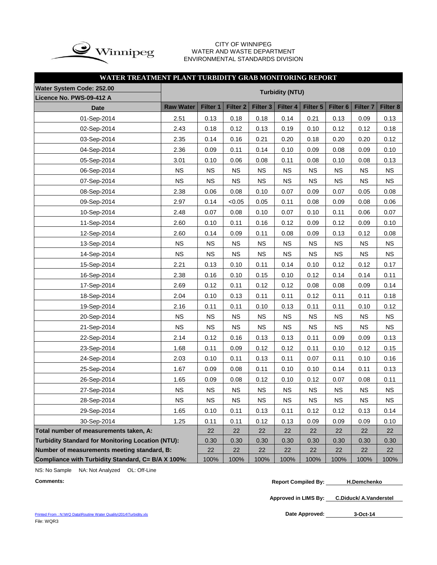

#### CITY OF WINNIPEG WATER AND WASTE DEPARTMENT ENVIRONMENTAL STANDARDS DIVISION

## **WATER TREATMENT PLANT TURBIDITY GRAB MONITORING REPORT**

| Water System Code: 252.00                                |                  |                        |                     |                     |           |           |                     |                     |           |  |  |
|----------------------------------------------------------|------------------|------------------------|---------------------|---------------------|-----------|-----------|---------------------|---------------------|-----------|--|--|
| Licence No. PWS-09-412 A                                 |                  | <b>Turbidity (NTU)</b> |                     |                     |           |           |                     |                     |           |  |  |
| <b>Date</b>                                              | <b>Raw Water</b> | Filter 1               | Filter <sub>2</sub> | Filter <sub>3</sub> | Filter 4  | Filter 5  | Filter <sub>6</sub> | Filter <sub>7</sub> | Filter 8  |  |  |
| 01-Sep-2014                                              | 2.51             | 0.13                   | 0.18                | 0.18                | 0.14      | 0.21      | 0.13                | 0.09                | 0.13      |  |  |
| 02-Sep-2014                                              | 2.43             | 0.18                   | 0.12                | 0.13                | 0.19      | 0.10      | 0.12                | 0.12                | 0.18      |  |  |
| 03-Sep-2014                                              | 2.35             | 0.14                   | 0.16                | 0.21                | 0.20      | 0.18      | 0.20                | 0.20                | 0.12      |  |  |
| 04-Sep-2014                                              | 2.36             | 0.09                   | 0.11                | 0.14                | 0.10      | 0.09      | 0.08                | 0.09                | 0.10      |  |  |
| 05-Sep-2014                                              | 3.01             | 0.10                   | 0.06                | 0.08                | 0.11      | 0.08      | 0.10                | 0.08                | 0.13      |  |  |
| 06-Sep-2014                                              | <b>NS</b>        | <b>NS</b>              | <b>NS</b>           | <b>NS</b>           | <b>NS</b> | <b>NS</b> | <b>NS</b>           | <b>NS</b>           | <b>NS</b> |  |  |
| 07-Sep-2014                                              | NS               | <b>NS</b>              | <b>NS</b>           | <b>NS</b>           | <b>NS</b> | <b>NS</b> | <b>NS</b>           | <b>NS</b>           | <b>NS</b> |  |  |
| 08-Sep-2014                                              | 2.38             | 0.06                   | 0.08                | 0.10                | 0.07      | 0.09      | 0.07                | 0.05                | 0.08      |  |  |
| 09-Sep-2014                                              | 2.97             | 0.14                   | < 0.05              | 0.05                | 0.11      | 0.08      | 0.09                | 0.08                | 0.06      |  |  |
| 10-Sep-2014                                              | 2.48             | 0.07                   | 0.08                | 0.10                | 0.07      | 0.10      | 0.11                | 0.06                | 0.07      |  |  |
| 11-Sep-2014                                              | 2.60             | 0.10                   | 0.11                | 0.16                | 0.12      | 0.09      | 0.12                | 0.09                | 0.10      |  |  |
| 12-Sep-2014                                              | 2.60             | 0.14                   | 0.09                | 0.11                | 0.08      | 0.09      | 0.13                | 0.12                | 0.08      |  |  |
| 13-Sep-2014                                              | <b>NS</b>        | <b>NS</b>              | <b>NS</b>           | <b>NS</b>           | <b>NS</b> | <b>NS</b> | <b>NS</b>           | <b>NS</b>           | NS        |  |  |
| 14-Sep-2014                                              | <b>NS</b>        | <b>NS</b>              | <b>NS</b>           | <b>NS</b>           | <b>NS</b> | <b>NS</b> | <b>NS</b>           | <b>NS</b>           | <b>NS</b> |  |  |
| 15-Sep-2014                                              | 2.21             | 0.13                   | 0.10                | 0.11                | 0.14      | 0.10      | 0.12                | 0.12                | 0.17      |  |  |
| 16-Sep-2014                                              | 2.38             | 0.16                   | 0.10                | 0.15                | 0.10      | 0.12      | 0.14                | 0.14                | 0.11      |  |  |
| 17-Sep-2014                                              | 2.69             | 0.12                   | 0.11                | 0.12                | 0.12      | 0.08      | 0.08                | 0.09                | 0.14      |  |  |
| 18-Sep-2014                                              | 2.04             | 0.10                   | 0.13                | 0.11                | 0.11      | 0.12      | 0.11                | 0.11                | 0.18      |  |  |
| 19-Sep-2014                                              | 2.16             | 0.11                   | 0.11                | 0.10                | 0.13      | 0.11      | 0.11                | 0.10                | 0.12      |  |  |
| 20-Sep-2014                                              | <b>NS</b>        | <b>NS</b>              | <b>NS</b>           | <b>NS</b>           | <b>NS</b> | <b>NS</b> | <b>NS</b>           | <b>NS</b>           | <b>NS</b> |  |  |
| 21-Sep-2014                                              | <b>NS</b>        | <b>NS</b>              | <b>NS</b>           | <b>NS</b>           | <b>NS</b> | <b>NS</b> | <b>NS</b>           | <b>NS</b>           | <b>NS</b> |  |  |
| 22-Sep-2014                                              | 2.14             | 0.12                   | 0.16                | 0.13                | 0.13      | 0.11      | 0.09                | 0.09                | 0.13      |  |  |
| 23-Sep-2014                                              | 1.68             | 0.11                   | 0.09                | 0.12                | 0.12      | 0.11      | 0.10                | 0.12                | 0.15      |  |  |
| 24-Sep-2014                                              | 2.03             | 0.10                   | 0.11                | 0.13                | 0.11      | 0.07      | 0.11                | 0.10                | 0.16      |  |  |
| 25-Sep-2014                                              | 1.67             | 0.09                   | 0.08                | 0.11                | 0.10      | 0.10      | 0.14                | 0.11                | 0.13      |  |  |
| 26-Sep-2014                                              | 1.65             | 0.09                   | 0.08                | 0.12                | 0.10      | 0.12      | 0.07                | 0.08                | 0.11      |  |  |
| 27-Sep-2014                                              | NS               | <b>NS</b>              | NS                  | NS                  | <b>NS</b> | <b>NS</b> | NS                  | <b>NS</b>           | NS        |  |  |
| 28-Sep-2014                                              | <b>NS</b>        | <b>NS</b>              | <b>NS</b>           | <b>NS</b>           | <b>NS</b> | <b>NS</b> | <b>NS</b>           | <b>NS</b>           | <b>NS</b> |  |  |
| 29-Sep-2014                                              | 1.65             | 0.10                   | 0.11                | 0.13                | 0.11      | 0.12      | 0.12                | 0.13                | 0.14      |  |  |
| 30-Sep-2014                                              | 1.25             | 0.11                   | 0.11                | 0.12                | 0.13      | 0.09      | 0.09                | 0.09                | 0.10      |  |  |
| Total number of measurements taken, A:                   |                  | 22                     | 22                  | 22                  | 22        | 22        | 22                  | 22                  | 22        |  |  |
| <b>Turbidity Standard for Monitoring Location (NTU):</b> |                  | 0.30                   | 0.30                | 0.30                | 0.30      | 0.30      | 0.30                | 0.30                | 0.30      |  |  |
| Number of measurements meeting standard, B:              |                  | 22                     | 22                  | 22                  | 22        | 22        | 22                  | 22                  | 22        |  |  |
| Compliance with Turbidity Standard, C= B/A X 100%:       |                  | 100%                   | 100%                | 100%                | 100%      | 100%      | 100%                | 100%                | 100%      |  |  |

NS: No Sample NA: Not Analyzed OL: Off-Line

**Comments: Report Compiled By: H.Demchenko**

**Approved in LIMS By: C.Diduck/ A.Vanderstel**

[Printed From : N:\WQ Data\Routine Water Quality\2014\Turbidity.xls](C:/Documents and Settings/rgrossel/Local Settings/Temporary Internet Files/OLK13/Turbidity 2010.xls) File: WQR3

Date Approved: 3-Oct-14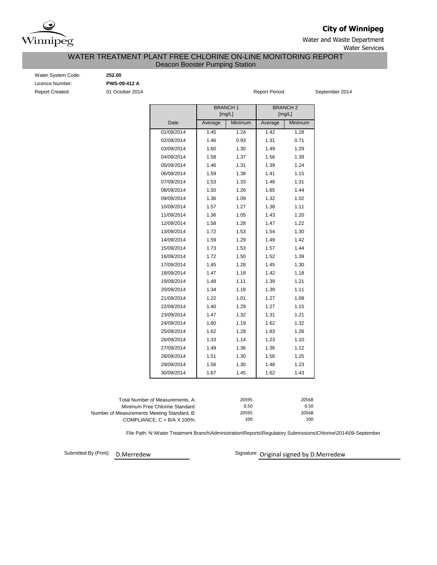

**City of Winnipeg**

Water and Waste Department

### Water Services

## Deacon Booster Pumping Station WATER TREATMENT PLANT FREE CHLORINE ON-LINE MONITORING REPORT

Report Created: **01 October 2014 Report Period:** September 2014 **Report Period:** September 2014 Water System Code: **252.00** Licence Number: **PWS-09-412 A**

|                     |         | <b>BRANCH1</b><br>[mg/L] |         | <b>BRANCH 2</b><br>[mg/L] |  |  |  |
|---------------------|---------|--------------------------|---------|---------------------------|--|--|--|
| Date                | Average | Minimum                  | Average | Minimum                   |  |  |  |
| 01/09/2014          | 1.45    | 1.24                     | 1.42    | 1.28                      |  |  |  |
| 02/09/2014          | 1.46    | 0.93                     | 1.31    | 0.71                      |  |  |  |
| 03/09/2014          | 1.60    | 1.30                     | 1.49    | 1.29                      |  |  |  |
| 04/09/2014          | 1.58    | 1.37                     | 1.56    | 1.39                      |  |  |  |
| 05/09/2014          | 1.46    | 1.31                     | 1.39    | 1.24                      |  |  |  |
| 06/09/2014          | 1.59    | 1.38                     | 1.41    | 1.15                      |  |  |  |
| 07/09/2014          | 1.53    | 1.33                     | 1.48    | 1.31                      |  |  |  |
| 08/09/2014          | 1.50    | 1.26                     | 1.65    | 1.44                      |  |  |  |
| 09/09/2014          | 1.36    | 1.09                     | 1.32    | 1.02                      |  |  |  |
| 10/09/2014          | 1.57    | 1.27                     | 1.38    | 1.11                      |  |  |  |
| 11/09/2014          | 1.36    | 1.05                     | 1.43    | 1.20                      |  |  |  |
| 12/09/2014          | 1.58    | 1.28                     | 1.47    | 1.22                      |  |  |  |
| 13/09/2014          | 1.72    | 1.53                     | 1.54    | 1.30                      |  |  |  |
| 14/09/2014          | 1.59    | 1.29                     | 1.49    | 1.42                      |  |  |  |
| 15/09/2014          | 1.73    | 1.53                     | 1.57    | 1.44                      |  |  |  |
| 16/09/2014          | 1.72    | 1.50                     | 1.52    | 1.39                      |  |  |  |
| 17/09/2014          | 1.45    | 1.28                     | 1.45    | 1.30                      |  |  |  |
| 18/09/2014          | 1.47    | 1.18                     | 1.42    | 1.18                      |  |  |  |
| 19/09/2014          | 1.48    | 1.11                     | 1.39    | 1.21                      |  |  |  |
| 20/09/2014          | 1.34    | 1.18                     | 1.39    | 1.11                      |  |  |  |
| 21/09/2014          | 1.22    | 1.01                     | 1.27    | 1.09                      |  |  |  |
| 22/09/2014          | 1.40    | 1.29                     | 1.27    | 1.15                      |  |  |  |
| 23/09/2014          | 1.47    | 1.32                     | 1.31    | 1.21                      |  |  |  |
| 24/09/2014          | 1.60    | 1.19                     | 1.62    | 1.32                      |  |  |  |
| 25/09/2014          | 1.62    | 1.28                     | 1.83    | 1.26                      |  |  |  |
| 26/09/2014          | 1.33    | 1.14                     | 1.23    | 1.10                      |  |  |  |
| 27/09/2014          | 1.49    | 1.36                     | 1.36    | 1.12                      |  |  |  |
| 28/09/2014          | 1.51    | 1.30                     | 1.56    | 1.25                      |  |  |  |
| 29/09/2014          | 1.56    | 1.30                     | 1.48    | 1.23                      |  |  |  |
| 30/09/2014          | 1.67    | 1.45                     | 1.62    | 1.43                      |  |  |  |
| of Measurements, A: |         | 20595                    |         | 20568                     |  |  |  |

| Total Number of Measurements. A:            | 20595 | 20568 |
|---------------------------------------------|-------|-------|
| Minimum Free Chlorine Standard:             | 0.50  | 0.50  |
| Number of Measurements Meeting Standard, B: | 20595 | 20568 |
| COMPLIANCE, $C = B/A \times 100\%$ :        | 100   | 100   |
|                                             |       |       |

File Path: N:\Water Treatment Branch\Administration\Reports\Regulatory Submissions\Chlorine\2014\09-September

Submitted By (Print):

D.Merredew **D.Merredew** Signature: Original signed by D.Merredew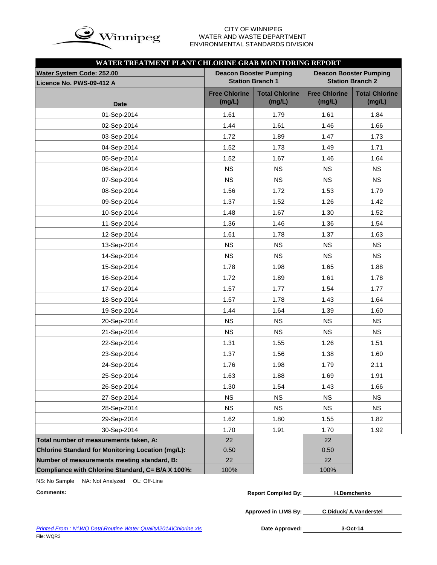

# WATER AND WASTE DEPARTMENT ENVIRONMENTAL STANDARDS DIVISION

| WATER TREATMENT PLANT CHLORINE GRAB MONITORING REPORT |                                |                                 |                                                          |                                 |  |  |  |  |  |  |  |  |
|-------------------------------------------------------|--------------------------------|---------------------------------|----------------------------------------------------------|---------------------------------|--|--|--|--|--|--|--|--|
| <b>Water System Code: 252.00</b>                      |                                | <b>Deacon Booster Pumping</b>   | <b>Deacon Booster Pumping</b><br><b>Station Branch 2</b> |                                 |  |  |  |  |  |  |  |  |
| Licence No. PWS-09-412 A                              | <b>Station Branch 1</b>        |                                 |                                                          |                                 |  |  |  |  |  |  |  |  |
| <b>Date</b>                                           | <b>Free Chlorine</b><br>(mg/L) | <b>Total Chlorine</b><br>(mg/L) | <b>Free Chlorine</b><br>(mg/L)                           | <b>Total Chlorine</b><br>(mg/L) |  |  |  |  |  |  |  |  |
| 01-Sep-2014                                           | 1.61                           | 1.79                            | 1.61                                                     | 1.84                            |  |  |  |  |  |  |  |  |
| 02-Sep-2014                                           | 1.44                           | 1.61                            | 1.46                                                     | 1.66                            |  |  |  |  |  |  |  |  |
| 03-Sep-2014                                           | 1.72                           | 1.89                            | 1.47                                                     | 1.73                            |  |  |  |  |  |  |  |  |
| 04-Sep-2014                                           | 1.52                           | 1.73                            | 1.49                                                     | 1.71                            |  |  |  |  |  |  |  |  |
| 05-Sep-2014                                           | 1.52                           | 1.67                            | 1.46                                                     | 1.64                            |  |  |  |  |  |  |  |  |
| 06-Sep-2014                                           | <b>NS</b>                      | <b>NS</b>                       | <b>NS</b>                                                | <b>NS</b>                       |  |  |  |  |  |  |  |  |
| 07-Sep-2014                                           | <b>NS</b>                      | <b>NS</b>                       | <b>NS</b>                                                | <b>NS</b>                       |  |  |  |  |  |  |  |  |
| 08-Sep-2014                                           | 1.56                           | 1.72                            | 1.53                                                     | 1.79                            |  |  |  |  |  |  |  |  |
| 09-Sep-2014                                           | 1.37                           | 1.52                            | 1.26                                                     | 1.42                            |  |  |  |  |  |  |  |  |
| 10-Sep-2014                                           | 1.48                           | 1.67                            | 1.30                                                     | 1.52                            |  |  |  |  |  |  |  |  |
| 11-Sep-2014                                           | 1.36                           | 1.46                            | 1.36                                                     | 1.54                            |  |  |  |  |  |  |  |  |
| 12-Sep-2014                                           | 1.61                           | 1.78                            | 1.37                                                     | 1.63                            |  |  |  |  |  |  |  |  |
| 13-Sep-2014                                           | <b>NS</b>                      | <b>NS</b>                       | <b>NS</b>                                                | <b>NS</b>                       |  |  |  |  |  |  |  |  |
| 14-Sep-2014                                           | <b>NS</b>                      | <b>NS</b>                       | <b>NS</b>                                                | <b>NS</b>                       |  |  |  |  |  |  |  |  |
| 15-Sep-2014                                           | 1.78                           | 1.98                            | 1.65                                                     | 1.88                            |  |  |  |  |  |  |  |  |
| 16-Sep-2014                                           | 1.72                           | 1.89                            | 1.61                                                     | 1.78                            |  |  |  |  |  |  |  |  |
| 17-Sep-2014                                           | 1.57                           | 1.77                            | 1.54                                                     | 1.77                            |  |  |  |  |  |  |  |  |
| 18-Sep-2014                                           | 1.57                           | 1.78                            | 1.43                                                     | 1.64                            |  |  |  |  |  |  |  |  |
| 19-Sep-2014                                           | 1.44                           | 1.64                            | 1.39                                                     | 1.60                            |  |  |  |  |  |  |  |  |
| 20-Sep-2014                                           | <b>NS</b>                      | <b>NS</b>                       | <b>NS</b>                                                | <b>NS</b>                       |  |  |  |  |  |  |  |  |
| 21-Sep-2014                                           | <b>NS</b>                      | <b>NS</b>                       | <b>NS</b>                                                | <b>NS</b>                       |  |  |  |  |  |  |  |  |
| 22-Sep-2014                                           | 1.31                           | 1.55                            | 1.26                                                     | 1.51                            |  |  |  |  |  |  |  |  |
| 23-Sep-2014                                           | 1.37                           | 1.56                            | 1.38                                                     | 1.60                            |  |  |  |  |  |  |  |  |
| 24-Sep-2014                                           | 1.76                           | 1.98                            | 1.79                                                     | 2.11                            |  |  |  |  |  |  |  |  |
| 25-Sep-2014                                           | 1.63                           | 1.88                            | 1.69                                                     | 1.91                            |  |  |  |  |  |  |  |  |
| 26-Sep-2014                                           | 1.30                           | 1.54                            | 1.43                                                     | 1.66                            |  |  |  |  |  |  |  |  |
| 27-Sep-2014                                           | <b>NS</b>                      | <b>NS</b>                       | <b>NS</b>                                                | <b>NS</b>                       |  |  |  |  |  |  |  |  |
| 28-Sep-2014                                           | <b>NS</b>                      | <b>NS</b>                       | <b>NS</b>                                                | <b>NS</b>                       |  |  |  |  |  |  |  |  |
| 29-Sep-2014                                           | 1.62                           | 1.80                            | 1.55                                                     | 1.82                            |  |  |  |  |  |  |  |  |
| 30-Sep-2014                                           | 1.70                           | 1.91                            | 1.70                                                     | 1.92                            |  |  |  |  |  |  |  |  |
| Total number of measurements taken, A:                | 22                             |                                 | 22                                                       |                                 |  |  |  |  |  |  |  |  |
| Chlorine Standard for Monitoring Location (mg/L):     | 0.50                           |                                 | 0.50                                                     |                                 |  |  |  |  |  |  |  |  |
| Number of measurements meeting standard, B:           | 22                             |                                 | 22                                                       |                                 |  |  |  |  |  |  |  |  |
| Compliance with Chlorine Standard, C= B/A X 100%:     | 100%                           |                                 | 100%                                                     |                                 |  |  |  |  |  |  |  |  |

NS: No Sample NA: Not Analyzed OL: Off-Line

| <b>Comments:</b> | <b>Report Compiled By:</b> | <b>H.Demchenko</b> |
|------------------|----------------------------|--------------------|
|                  |                            |                    |

**Approved in LIMS By: C.Diduck/ A.Vanderstel**

Date Approved: 3-Oct-14